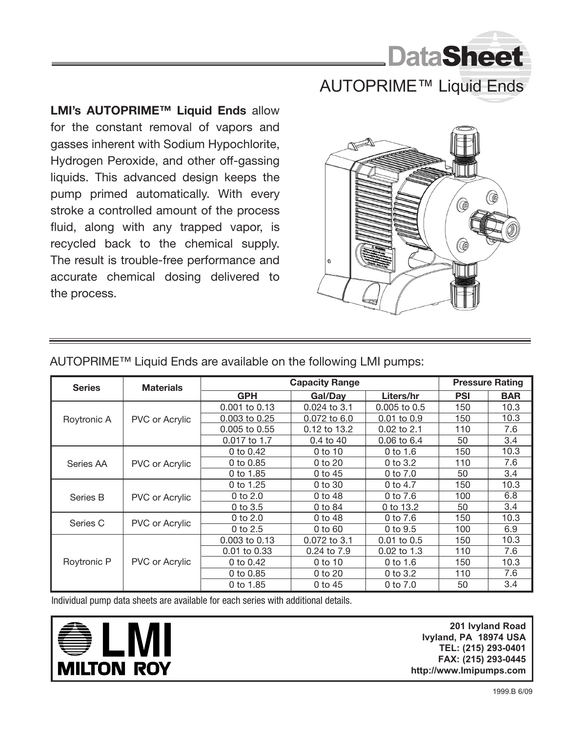

## AUTOPRIME™ Liquid Ends

**LMI's AUTOPRIME™ Liquid Ends** allow for the constant removal of vapors and gasses inherent with Sodium Hypochlorite, Hydrogen Peroxide, and other off-gassing liquids. This advanced design keeps the pump primed automatically. With every stroke a controlled amount of the process fluid, along with any trapped vapor, is recycled back to the chemical supply. The result is trouble-free performance and accurate chemical dosing delivered to the process.



| <b>Series</b> | <b>Materials</b>      | <b>Capacity Range</b> |              |                  | <b>Pressure Rating</b> |            |
|---------------|-----------------------|-----------------------|--------------|------------------|------------------------|------------|
|               |                       | <b>GPH</b>            | Gal/Dav      | <b>Liters/hr</b> | <b>PSI</b>             | <b>BAR</b> |
| Roytronic A   | PVC or Acrylic        | $0.001$ to $0.13$     | 0.024 to 3.1 | $0.005$ to $0.5$ | 150                    | 10.3       |
|               |                       | 0.003 to 0.25         | 0.072 to 6.0 | $0.01$ to $0.9$  | 150                    | 10.3       |
|               |                       | $0.005$ to $0.55$     | 0.12 to 13.2 | 0.02 to 2.1      | 110                    | 7.6        |
|               |                       | 0.017 to 1.7          | $0.4$ to 40  | $0.06$ to $6.4$  | 50                     | 3.4        |
| Series AA     | PVC or Acrylic        | 0 to 0.42             | $0$ to 10    | 0 to 1.6         | 150                    | 10.3       |
|               |                       | 0 to 0.85             | $0$ to $20$  | 0 to $3.2$       | 110                    | 7.6        |
|               |                       | 0 to 1.85             | $0$ to 45    | 0 to $7.0$       | 50                     | 3.4        |
| Series B      | PVC or Acrylic        | 0 to 1.25             | $0$ to $30$  | 0 to 4.7         | 150                    | 10.3       |
|               |                       | $0$ to $2.0$          | $0$ to 48    | 0 to 7.6         | 100                    | 6.8        |
|               |                       | $0$ to $3.5$          | 0 to 84      | 0 to 13.2        | 50                     | 3.4        |
| Series C      | <b>PVC or Acrylic</b> | 0 to $2.0$            | 0 to 48      | 0 to 7.6         | 150                    | 10.3       |
|               |                       | 0 to 2.5              | 0 to 60      | 0 to 9.5         | 100                    | 6.9        |
| Roytronic P   | <b>PVC or Acrylic</b> | $0.003$ to $0.13$     | 0.072 to 3.1 | $0.01$ to $0.5$  | 150                    | 10.3       |
|               |                       | 0.01 to 0.33          | 0.24 to 7.9  | 0.02 to 1.3      | 110                    | 7.6        |
|               |                       | 0 to 0.42             | $0$ to 10    | $0$ to 1.6       | 150                    | 10.3       |
|               |                       | 0 to 0.85             | $0$ to $20$  | 0 to $3.2$       | 110                    | 7.6        |
|               |                       | 0 to 1.85             | 0 to 45      | 0 to 7.0         | 50                     | 3.4        |

AUTOPRIME™ Liquid Ends are available on the following LMI pumps:

Individual pump data sheets are available for each series with additional details.



**201 Ivyland Road 201 Ivyland Road Ivyland, PA 18974 Ivyland, PA 18974 USA TEL: (215) 293-0401 TEL: (215) 293-0401 FAX: (800) 327-7563 FAX: (215) 293-0445 http://www.Imipumps.com http://www.Imipumps.com**